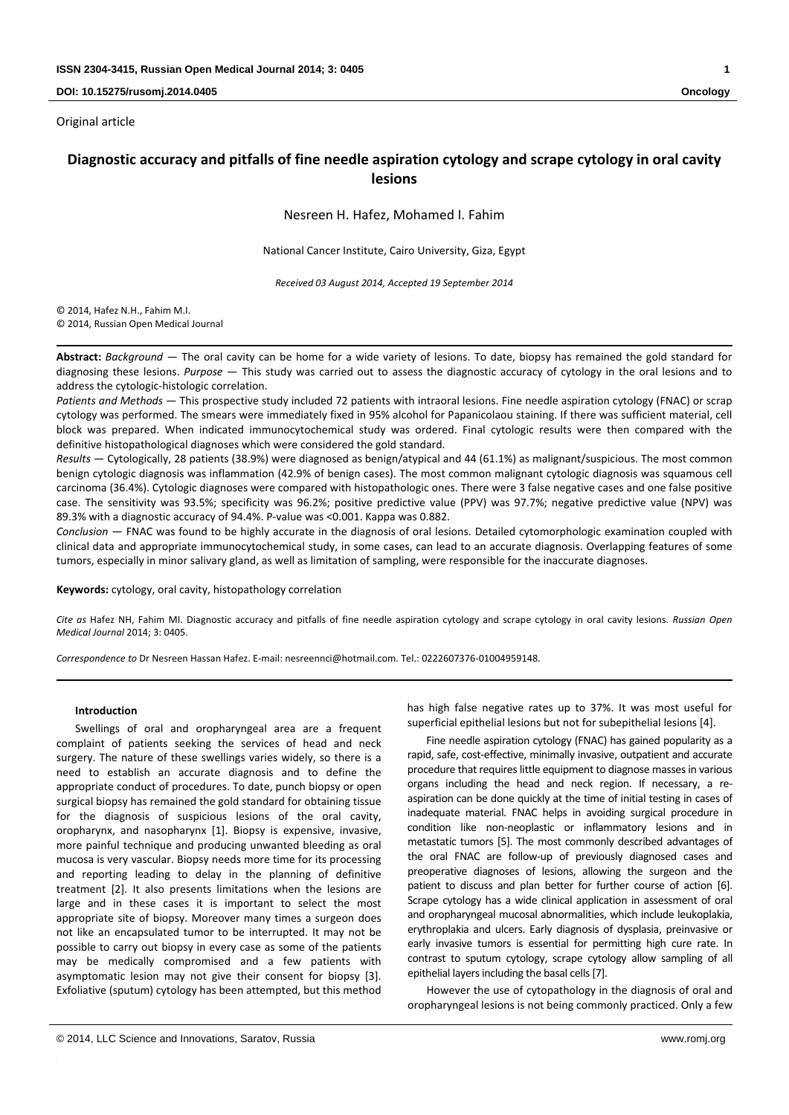Original article

Nesreen H. Hafez, Mohamed I. Fahim

National Cancer Institute, Cairo University, Giza, Egypt

*Received 03 August 2014, Accepted 19 September 2014*

© 2014, Hafez N.H., Fahim M.I. © 2014, Russian Open Medical Journal

**Abstract:** *Background* — The oral cavity can be home for a wide variety of lesions. To date, biopsy has remained the gold standard for diagnosing these lesions. *Purpose* — This study was carried out to assess the diagnostic accuracy of cytology in the oral lesions and to address the cytologic‐histologic correlation.

*Patients and Methods* — This prospective study included 72 patients with intraoral lesions. Fine needle aspiration cytology (FNAC) or scrap cytology was performed. The smears were immediately fixed in 95% alcohol for Papanicolaou staining. If there was sufficient material, cell block was prepared. When indicated immunocytochemical study was ordered. Final cytologic results were then compared with the definitive histopathological diagnoses which were considered the gold standard.

*Results* — Cytologically, 28 patients (38.9%) were diagnosed as benign/atypical and 44 (61.1%) as malignant/suspicious. The most common benign cytologic diagnosis was inflammation (42.9% of benign cases). The most common malignant cytologic diagnosis was squamous cell carcinoma (36.4%). Cytologic diagnoses were compared with histopathologic ones. There were 3 false negative cases and one false positive case. The sensitivity was 93.5%; specificity was 96.2%; positive predictive value (PPV) was 97.7%; negative predictive value (NPV) was 89.3% with a diagnostic accuracy of 94.4%. P-value was <0.001. Kappa was 0.882.

*Conclusion* — FNAC was found to be highly accurate in the diagnosis of oral lesions. Detailed cytomorphologic examination coupled with clinical data and appropriate immunocytochemical study, in some cases, can lead to an accurate diagnosis. Overlapping features of some tumors, especially in minor salivary gland, as well as limitation of sampling, were responsible for the inaccurate diagnoses.

**Keywords:** cytology, oral cavity, histopathology correlation

*Cite as* Hafez NH, Fahim MI. Diagnostic accuracy and pitfalls of fine needle aspiration cytology and scrape cytology in oral cavity lesions. *Russian Open Medical Journal* 2014; 3: 0405.

*Correspondence to* Dr Nesreen Hassan Hafez. E‐mail: nesreennci@hotmail.com. Tel.: 0222607376‐01004959148.

# **Introduction**

Swellings of oral and oropharyngeal area are a frequent complaint of patients seeking the services of head and neck surgery. The nature of these swellings varies widely, so there is a need to establish an accurate diagnosis and to define the appropriate conduct of procedures. To date, punch biopsy or open surgical biopsy has remained the gold standard for obtaining tissue for the diagnosis of suspicious lesions of the oral cavity, oropharynx, and nasopharynx [1]. Biopsy is expensive, invasive, more painful technique and producing unwanted bleeding as oral mucosa is very vascular. Biopsy needs more time for its processing and reporting leading to delay in the planning of definitive treatment [2]. It also presents limitations when the lesions are large and in these cases it is important to select the most appropriate site of biopsy. Moreover many times a surgeon does not like an encapsulated tumor to be interrupted. It may not be possible to carry out biopsy in every case as some of the patients may be medically compromised and a few patients with asymptomatic lesion may not give their consent for biopsy [3]. Exfoliative (sputum) cytology has been attempted, but this method

has high false negative rates up to 37%. It was most useful for superficial epithelial lesions but not for subepithelial lesions [4].

Fine needle aspiration cytology (FNAC) has gained popularity as a rapid, safe, cost-effective, minimally invasive, outpatient and accurate procedure that requires little equipment to diagnose masses in various organs including the head and neck region. If necessary, a re‐ aspiration can be done quickly at the time of initial testing in cases of inadequate material. FNAC helps in avoiding surgical procedure in condition like non‐neoplastic or inflammatory lesions and in metastatic tumors [5]. The most commonly described advantages of the oral FNAC are follow‐up of previously diagnosed cases and preoperative diagnoses of lesions, allowing the surgeon and the patient to discuss and plan better for further course of action [6]. Scrape cytology has a wide clinical application in assessment of oral and oropharyngeal mucosal abnormalities, which include leukoplakia, erythroplakia and ulcers. Early diagnosis of dysplasia, preinvasive or early invasive tumors is essential for permitting high cure rate. In contrast to sputum cytology, scrape cytology allow sampling of all epithelial layers including the basal cells [7].

However the use of cytopathology in the diagnosis of oral and oropharyngeal lesions is not being commonly practiced. Only a few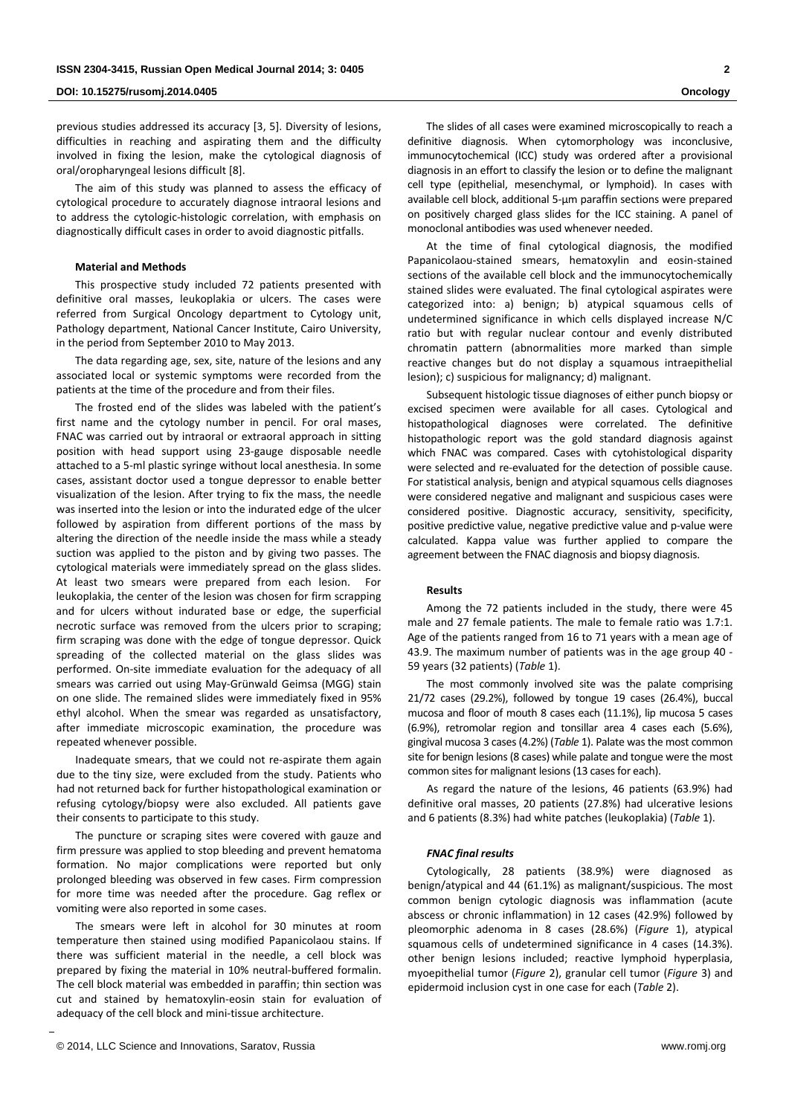previous studies addressed its accuracy [3, 5]. Diversity of lesions, difficulties in reaching and aspirating them and the difficulty involved in fixing the lesion, make the cytological diagnosis of oral/oropharyngeal lesions difficult [8].

The aim of this study was planned to assess the efficacy of cytological procedure to accurately diagnose intraoral lesions and to address the cytologic‐histologic correlation, with emphasis on diagnostically difficult cases in order to avoid diagnostic pitfalls.

# **Material and Methods**

This prospective study included 72 patients presented with definitive oral masses, leukoplakia or ulcers. The cases were referred from Surgical Oncology department to Cytology unit, Pathology department, National Cancer Institute, Cairo University, in the period from September 2010 to May 2013.

The data regarding age, sex, site, nature of the lesions and any associated local or systemic symptoms were recorded from the patients at the time of the procedure and from their files.

The frosted end of the slides was labeled with the patient's first name and the cytology number in pencil. For oral mases, FNAC was carried out by intraoral or extraoral approach in sitting position with head support using 23‐gauge disposable needle attached to a 5‐ml plastic syringe without local anesthesia. In some cases, assistant doctor used a tongue depressor to enable better visualization of the lesion. After trying to fix the mass, the needle was inserted into the lesion or into the indurated edge of the ulcer followed by aspiration from different portions of the mass by altering the direction of the needle inside the mass while a steady suction was applied to the piston and by giving two passes. The cytological materials were immediately spread on the glass slides. At least two smears were prepared from each lesion. For leukoplakia, the center of the lesion was chosen for firm scrapping and for ulcers without indurated base or edge, the superficial necrotic surface was removed from the ulcers prior to scraping; firm scraping was done with the edge of tongue depressor. Quick spreading of the collected material on the glass slides was performed. On‐site immediate evaluation for the adequacy of all smears was carried out using May‐Grünwald Geimsa (MGG) stain on one slide. The remained slides were immediately fixed in 95% ethyl alcohol. When the smear was regarded as unsatisfactory, after immediate microscopic examination, the procedure was repeated whenever possible.

Inadequate smears, that we could not re‐aspirate them again due to the tiny size, were excluded from the study. Patients who had not returned back for further histopathological examination or refusing cytology/biopsy were also excluded. All patients gave their consents to participate to this study.

The puncture or scraping sites were covered with gauze and firm pressure was applied to stop bleeding and prevent hematoma formation. No major complications were reported but only prolonged bleeding was observed in few cases. Firm compression for more time was needed after the procedure. Gag reflex or vomiting were also reported in some cases.

The smears were left in alcohol for 30 minutes at room temperature then stained using modified Papanicolaou stains. If there was sufficient material in the needle, a cell block was prepared by fixing the material in 10% neutral‐buffered formalin. The cell block material was embedded in paraffin; thin section was cut and stained by hematoxylin‐eosin stain for evaluation of adequacy of the cell block and mini‐tissue architecture.

The slides of all cases were examined microscopically to reach a definitive diagnosis. When cytomorphology was inconclusive, immunocytochemical (ICC) study was ordered after a provisional diagnosis in an effort to classify the lesion or to define the malignant cell type (epithelial, mesenchymal, or lymphoid). In cases with available cell block, additional 5‐µm paraffin sections were prepared on positively charged glass slides for the ICC staining. A panel of monoclonal antibodies was used whenever needed.

At the time of final cytological diagnosis, the modified Papanicolaou‐stained smears, hematoxylin and eosin‐stained sections of the available cell block and the immunocytochemically stained slides were evaluated. The final cytological aspirates were categorized into: a) benign; b) atypical squamous cells of undetermined significance in which cells displayed increase N/C ratio but with regular nuclear contour and evenly distributed chromatin pattern (abnormalities more marked than simple reactive changes but do not display a squamous intraepithelial lesion); c) suspicious for malignancy; d) malignant.

Subsequent histologic tissue diagnoses of either punch biopsy or excised specimen were available for all cases. Cytological and histopathological diagnoses were correlated. The definitive histopathologic report was the gold standard diagnosis against which FNAC was compared. Cases with cytohistological disparity were selected and re‐evaluated for the detection of possible cause. For statistical analysis, benign and atypical squamous cells diagnoses were considered negative and malignant and suspicious cases were considered positive. Diagnostic accuracy, sensitivity, specificity, positive predictive value, negative predictive value and p-value were calculated. Kappa value was further applied to compare the agreement between the FNAC diagnosis and biopsy diagnosis.

### **Results**

Among the 72 patients included in the study, there were 45 male and 27 female patients. The male to female ratio was 1.7:1. Age of the patients ranged from 16 to 71 years with a mean age of 43.9. The maximum number of patients was in the age group 40 ‐ 59 years (32 patients) (*Table* 1).

The most commonly involved site was the palate comprising 21/72 cases (29.2%), followed by tongue 19 cases (26.4%), buccal mucosa and floor of mouth 8 cases each (11.1%), lip mucosa 5 cases (6.9%), retromolar region and tonsillar area 4 cases each (5.6%), gingival mucosa 3 cases (4.2%) (*Table* 1). Palate was the most common site for benign lesions(8 cases) while palate and tongue were the most common sites for malignant lesions (13 cases for each).

As regard the nature of the lesions, 46 patients (63.9%) had definitive oral masses, 20 patients (27.8%) had ulcerative lesions and 6 patients (8.3%) had white patches (leukoplakia) (*Table* 1).

### *FNAC final results*

Cytologically, 28 patients (38.9%) were diagnosed as benign/atypical and 44 (61.1%) as malignant/suspicious. The most common benign cytologic diagnosis was inflammation (acute abscess or chronic inflammation) in 12 cases (42.9%) followed by pleomorphic adenoma in 8 cases (28.6%) (*Figure* 1), atypical squamous cells of undetermined significance in 4 cases (14.3%). other benign lesions included; reactive lymphoid hyperplasia, myoepithelial tumor (*Figure* 2), granular cell tumor (*Figure* 3) and epidermoid inclusion cyst in one case for each (*Table* 2).

<sup>© 2014,</sup> LLC Science and Innovations, Saratov, Russia www.romj.org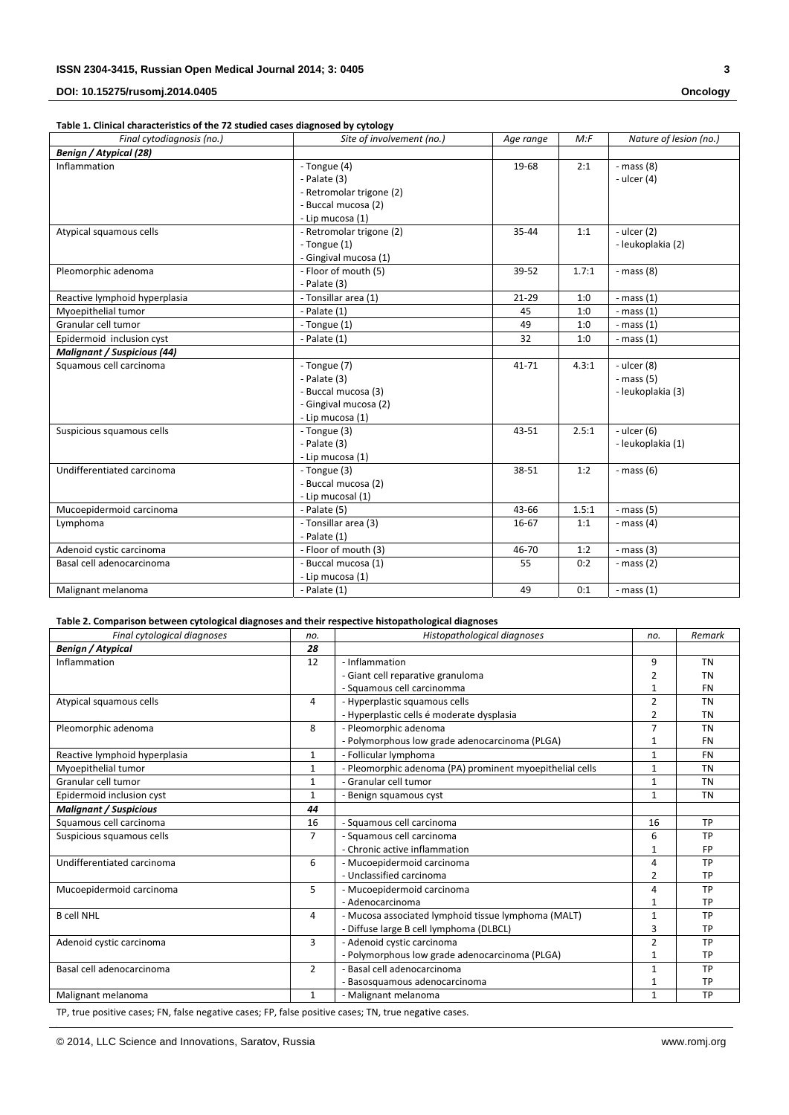# **Table 1. Clinical characteristics of the 72 studied cases diagnosed by cytology**

| Final cytodiagnosis (no.)          | Site of involvement (no.) | Age range | M: F  | Nature of lesion (no.) |
|------------------------------------|---------------------------|-----------|-------|------------------------|
| <b>Benign / Atypical (28)</b>      |                           |           |       |                        |
| Inflammation                       | - Tongue (4)              | 19-68     | 2:1   | - mass $(8)$           |
|                                    | - Palate $(3)$            |           |       | - ulcer (4)            |
|                                    | - Retromolar trigone (2)  |           |       |                        |
|                                    | - Buccal mucosa (2)       |           |       |                        |
|                                    | - Lip mucosa (1)          |           |       |                        |
| Atypical squamous cells            | - Retromolar trigone (2)  | 35-44     | 1:1   | - ulcer $(2)$          |
|                                    | - Tongue (1)              |           |       | - leukoplakia (2)      |
|                                    | - Gingival mucosa (1)     |           |       |                        |
| Pleomorphic adenoma                | - Floor of mouth (5)      | 39-52     | 1.7:1 | - mass $(8)$           |
|                                    | - Palate $(3)$            |           |       |                        |
| Reactive lymphoid hyperplasia      | - Tonsillar area (1)      | $21 - 29$ | 1:0   | - mass $(1)$           |
| Myoepithelial tumor                | - Palate $(1)$            | 45        | 1:0   | - mass $(1)$           |
| Granular cell tumor                | - Tongue (1)              | 49        | 1:0   | - mass $(1)$           |
| Epidermoid inclusion cyst          | - Palate $(1)$            | 32        | 1:0   | - mass $(1)$           |
| <b>Malignant / Suspicious (44)</b> |                           |           |       |                        |
| Squamous cell carcinoma            | - Tongue (7)              | $41 - 71$ | 4.3:1 | - ulcer (8)            |
|                                    | - Palate $(3)$            |           |       | - mass $(5)$           |
|                                    | - Buccal mucosa (3)       |           |       | - leukoplakia (3)      |
|                                    | - Gingival mucosa (2)     |           |       |                        |
|                                    | - Lip mucosa (1)          |           |       |                        |
| Suspicious squamous cells          | - Tongue (3)              | 43-51     | 2.5:1 | - ulcer (6)            |
|                                    | - Palate $(3)$            |           |       | - leukoplakia (1)      |
|                                    | - Lip mucosa (1)          |           |       |                        |
| Undifferentiated carcinoma         | - Tongue (3)              | 38-51     | 1:2   | - mass $(6)$           |
|                                    | - Buccal mucosa (2)       |           |       |                        |
|                                    | - Lip mucosal (1)         |           |       |                        |
| Mucoepidermoid carcinoma           | - Palate $(5)$            | 43-66     | 1.5:1 | - mass $(5)$           |
| Lymphoma                           | - Tonsillar area (3)      | 16-67     | 1:1   | - mass $(4)$           |
|                                    | - Palate $(1)$            |           |       |                        |
| Adenoid cystic carcinoma           | - Floor of mouth (3)      | 46-70     | 1:2   | - mass $(3)$           |
| Basal cell adenocarcinoma          | - Buccal mucosa (1)       | 55        | 0:2   | - $mass(2)$            |
|                                    | - Lip mucosa (1)          |           |       |                        |
| Malignant melanoma                 | - Palate $(1)$            | 49        | 0:1   | - mass $(1)$           |

# **Table 2. Comparison between cytological diagnoses and their respective histopathological diagnoses**

| Final cytological diagnoses   | no.            | Histopathological diagnoses                              | no.            | Remark    |
|-------------------------------|----------------|----------------------------------------------------------|----------------|-----------|
| <b>Benign / Atypical</b>      | 28             |                                                          |                |           |
| Inflammation                  | 12             | - Inflammation                                           | 9              | <b>TN</b> |
|                               |                | - Giant cell reparative granuloma                        | 2              | <b>TN</b> |
|                               |                | - Squamous cell carcinomma                               |                | <b>FN</b> |
| Atypical squamous cells       | 4              | - Hyperplastic squamous cells                            | 2              | <b>TN</b> |
|                               |                | - Hyperplastic cells é moderate dysplasia                | 2              | <b>TN</b> |
| Pleomorphic adenoma           | 8              | - Pleomorphic adenoma                                    | $\overline{7}$ | <b>TN</b> |
|                               |                | - Polymorphous low grade adenocarcinoma (PLGA)           | 1              | <b>FN</b> |
| Reactive lymphoid hyperplasia | $\mathbf{1}$   | - Follicular lymphoma                                    | $\mathbf{1}$   | <b>FN</b> |
| Myoepithelial tumor           | $\mathbf{1}$   | - Pleomorphic adenoma (PA) prominent myoepithelial cells | $\mathbf{1}$   | <b>TN</b> |
| Granular cell tumor           | 1              | - Granular cell tumor                                    | 1              | <b>TN</b> |
| Epidermoid inclusion cyst     | $\mathbf{1}$   | - Benign squamous cyst                                   | $\mathbf{1}$   | <b>TN</b> |
| <b>Malignant / Suspicious</b> | 44             |                                                          |                |           |
| Squamous cell carcinoma       | 16             | - Squamous cell carcinoma                                | 16             | TP        |
| Suspicious squamous cells     | $\overline{7}$ | - Squamous cell carcinoma                                | 6              | <b>TP</b> |
|                               |                | - Chronic active inflammation                            | 1              | FP        |
| Undifferentiated carcinoma    | 6              | - Mucoepidermoid carcinoma                               | 4              | TP        |
|                               |                | - Unclassified carcinoma                                 | 2              | TP        |
| Mucoepidermoid carcinoma      | 5              | - Mucoepidermoid carcinoma                               | 4              | TP        |
|                               |                | - Adenocarcinoma                                         | 1              | TP        |
| <b>B</b> cell NHL             | 4              | - Mucosa associated lymphoid tissue lymphoma (MALT)      | $\mathbf{1}$   | TP        |
|                               |                | - Diffuse large B cell lymphoma (DLBCL)                  | 3              | <b>TP</b> |
| Adenoid cystic carcinoma      | 3              | - Adenoid cystic carcinoma                               | $\overline{2}$ | <b>TP</b> |
|                               |                | - Polymorphous low grade adenocarcinoma (PLGA)           | 1              | TP        |
| Basal cell adenocarcinoma     | $\overline{2}$ | - Basal cell adenocarcinoma                              | $\mathbf{1}$   | <b>TP</b> |
|                               |                | - Basosquamous adenocarcinoma                            |                | <b>TP</b> |
| Malignant melanoma            | 1              | - Malignant melanoma                                     | $\mathbf{1}$   | TP        |

TP, true positive cases; FN, false negative cases; FP, false positive cases; TN, true negative cases.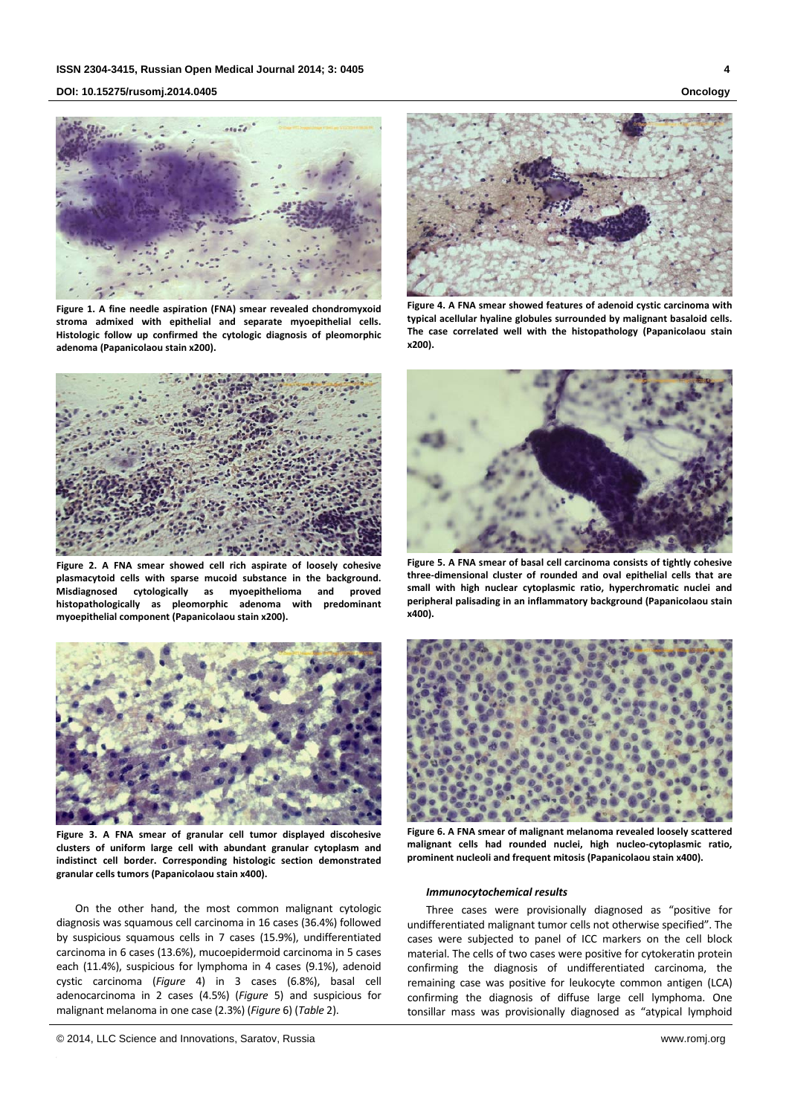

**Figure 1. A fine needle aspiration (FNA) smear revealed chondromyxoid stroma admixed with epithelial and separate myoepithelial cells. Histologic follow up confirmed the cytologic diagnosis of pleomorphic adenoma (Papanicolaou stain x200).** 



**Figure 2. A FNA smear showed cell rich aspirate of loosely cohesive plasmacytoid cells with sparse mucoid substance in the background. Misdiagnosed cytologically as myoepithelioma and proved histopathologically as pleomorphic adenoma with predominant myoepithelial component (Papanicolaou stain x200).**



**Figure 3. A FNA smear of granular cell tumor displayed discohesive clusters of uniform large cell with abundant granular cytoplasm and indistinct cell border. Corresponding histologic section demonstrated granular cells tumors (Papanicolaou stain x400).**

On the other hand, the most common malignant cytologic diagnosis was squamous cell carcinoma in 16 cases (36.4%) followed by suspicious squamous cells in 7 cases (15.9%), undifferentiated carcinoma in 6 cases (13.6%), mucoepidermoid carcinoma in 5 cases each (11.4%), suspicious for lymphoma in 4 cases (9.1%), adenoid cystic carcinoma (*Figure* 4) in 3 cases (6.8%), basal cell adenocarcinoma in 2 cases (4.5%) (*Figure* 5) and suspicious for malignant melanoma in one case (2.3%) (*Figure* 6) (*Table* 2).



**Figure 4. A FNA smear showed features of adenoid cystic carcinoma with typical acellular hyaline globules surrounded by malignant basaloid cells. The case correlated well with the histopathology (Papanicolaou stain x200).**



**Figure 5. A FNA smear of basal cell carcinoma consists of tightly cohesive three‐dimensional cluster of rounded and oval epithelial cells that are small with high nuclear cytoplasmic ratio, hyperchromatic nuclei and peripheral palisading in an inflammatory background (Papanicolaou stain x400).**



**Figure 6. A FNA smear of malignant melanoma revealed loosely scattered malignant cells had rounded nuclei, high nucleo‐cytoplasmic ratio, prominent nucleoli and frequent mitosis (Papanicolaou stain x400).**

# *Immunocytochemical results*

Three cases were provisionally diagnosed as "positive for undifferentiated malignant tumor cells not otherwise specified". The cases were subjected to panel of ICC markers on the cell block material. The cells of two cases were positive for cytokeratin protein confirming the diagnosis of undifferentiated carcinoma, the remaining case was positive for leukocyte common antigen (LCA) confirming the diagnosis of diffuse large cell lymphoma. One tonsillar mass was provisionally diagnosed as "atypical lymphoid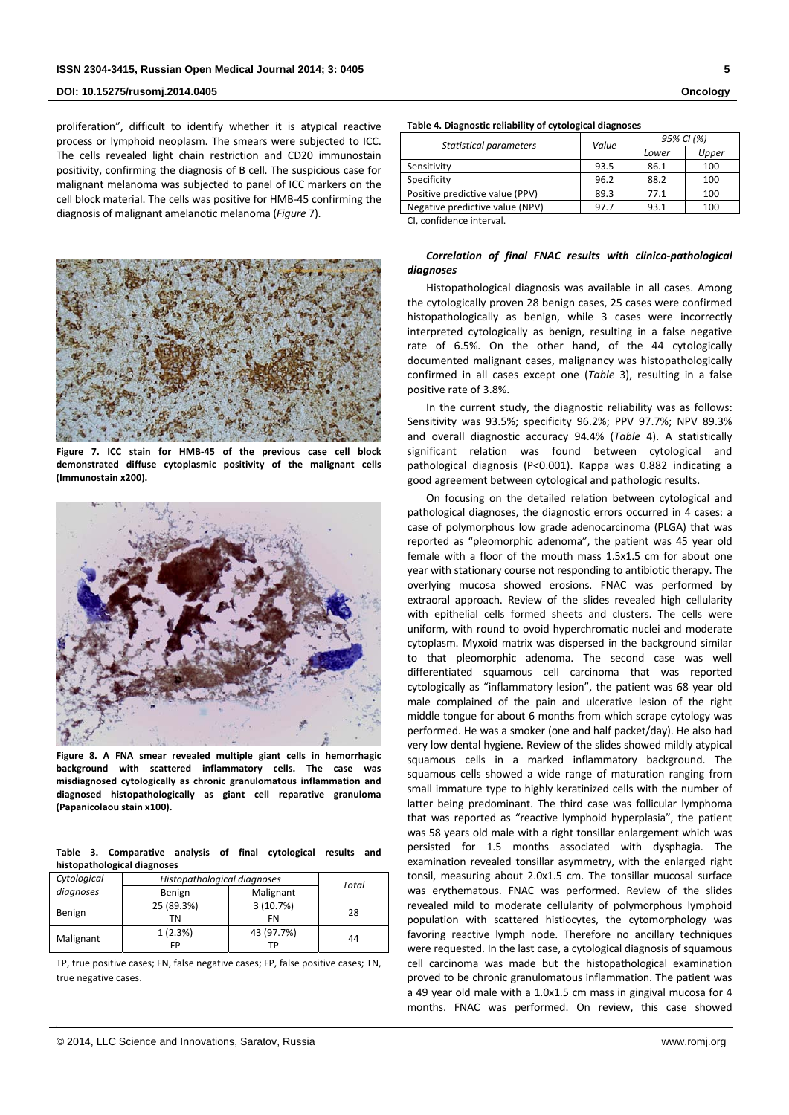proliferation", difficult to identify whether it is atypical reactive process or lymphoid neoplasm. The smears were subjected to ICC. The cells revealed light chain restriction and CD20 immunostain positivity, confirming the diagnosis of B cell. The suspicious case for malignant melanoma was subjected to panel of ICC markers on the cell block material. The cells was positive for HMB‐45 confirming the diagnosis of malignant amelanotic melanoma (*Figure* 7).



**Figure 7. ICC stain for HMB‐45 of the previous case cell block demonstrated diffuse cytoplasmic positivity of the malignant cells (Immunostain x200).**



**Figure 8. A FNA smear revealed multiple giant cells in hemorrhagic background with scattered inflammatory cells. The case was misdiagnosed cytologically as chronic granulomatous inflammation and diagnosed histopathologically as giant cell reparative granuloma (Papanicolaou stain x100).**

**Table 3. Comparative analysis of final cytological results and histopathological diagnoses** 

| Cytological | Histopathological diagnoses |            | Total |  |
|-------------|-----------------------------|------------|-------|--|
| diagnoses   | Benign                      | Malignant  |       |  |
| Benign      | 25 (89.3%)                  | 3(10.7%)   | 28    |  |
|             | ΤN                          | FN         |       |  |
| Malignant   | 1(2.3%)                     | 43 (97.7%) | 44    |  |
|             | FP                          | ТP         |       |  |

TP, true positive cases; FN, false negative cases; FP, false positive cases; TN, true negative cases.

| <b>Statistical parameters</b>   | Value | 95% CI (%) |       |  |  |  |
|---------------------------------|-------|------------|-------|--|--|--|
|                                 |       | Lower      | Upper |  |  |  |
| Sensitivity                     | 93.5  | 86.1       | 100   |  |  |  |
| Specificity                     | 96.2  | 88.2       | 100   |  |  |  |
| Positive predictive value (PPV) | 89.3  | 77.1       | 100   |  |  |  |
| Negative predictive value (NPV) | 97.7  | 93.1       | 100   |  |  |  |

**Table 4. Diagnostic reliability of cytological diagnoses**

CI, confidence interval.

# *Correlation of final FNAC results with clinico‐pathological diagnoses*

Histopathological diagnosis was available in all cases. Among the cytologically proven 28 benign cases, 25 cases were confirmed histopathologically as benign, while 3 cases were incorrectly interpreted cytologically as benign, resulting in a false negative rate of 6.5%. On the other hand, of the 44 cytologically documented malignant cases, malignancy was histopathologically confirmed in all cases except one (*Table* 3), resulting in a false positive rate of 3.8%.

In the current study, the diagnostic reliability was as follows: Sensitivity was 93.5%; specificity 96.2%; PPV 97.7%; NPV 89.3% and overall diagnostic accuracy 94.4% (*Table* 4). A statistically significant relation was found between cytological and pathological diagnosis (P<0.001). Kappa was 0.882 indicating a good agreement between cytological and pathologic results.

On focusing on the detailed relation between cytological and pathological diagnoses, the diagnostic errors occurred in 4 cases: a case of polymorphous low grade adenocarcinoma (PLGA) that was reported as "pleomorphic adenoma", the patient was 45 year old female with a floor of the mouth mass 1.5x1.5 cm for about one year with stationary course not responding to antibiotic therapy. The overlying mucosa showed erosions. FNAC was performed by extraoral approach. Review of the slides revealed high cellularity with epithelial cells formed sheets and clusters. The cells were uniform, with round to ovoid hyperchromatic nuclei and moderate cytoplasm. Myxoid matrix was dispersed in the background similar to that pleomorphic adenoma. The second case was well differentiated squamous cell carcinoma that was reported cytologically as "inflammatory lesion", the patient was 68 year old male complained of the pain and ulcerative lesion of the right middle tongue for about 6 months from which scrape cytology was performed. He was a smoker (one and half packet/day). He also had very low dental hygiene. Review of the slides showed mildly atypical squamous cells in a marked inflammatory background. The squamous cells showed a wide range of maturation ranging from small immature type to highly keratinized cells with the number of latter being predominant. The third case was follicular lymphoma that was reported as "reactive lymphoid hyperplasia", the patient was 58 years old male with a right tonsillar enlargement which was persisted for 1.5 months associated with dysphagia. The examination revealed tonsillar asymmetry, with the enlarged right tonsil, measuring about 2.0x1.5 cm. The tonsillar mucosal surface was erythematous. FNAC was performed. Review of the slides revealed mild to moderate cellularity of polymorphous lymphoid population with scattered histiocytes, the cytomorphology was favoring reactive lymph node. Therefore no ancillary techniques were requested. In the last case, a cytological diagnosis of squamous cell carcinoma was made but the histopathological examination proved to be chronic granulomatous inflammation. The patient was a 49 year old male with a 1.0x1.5 cm mass in gingival mucosa for 4 months. FNAC was performed. On review, this case showed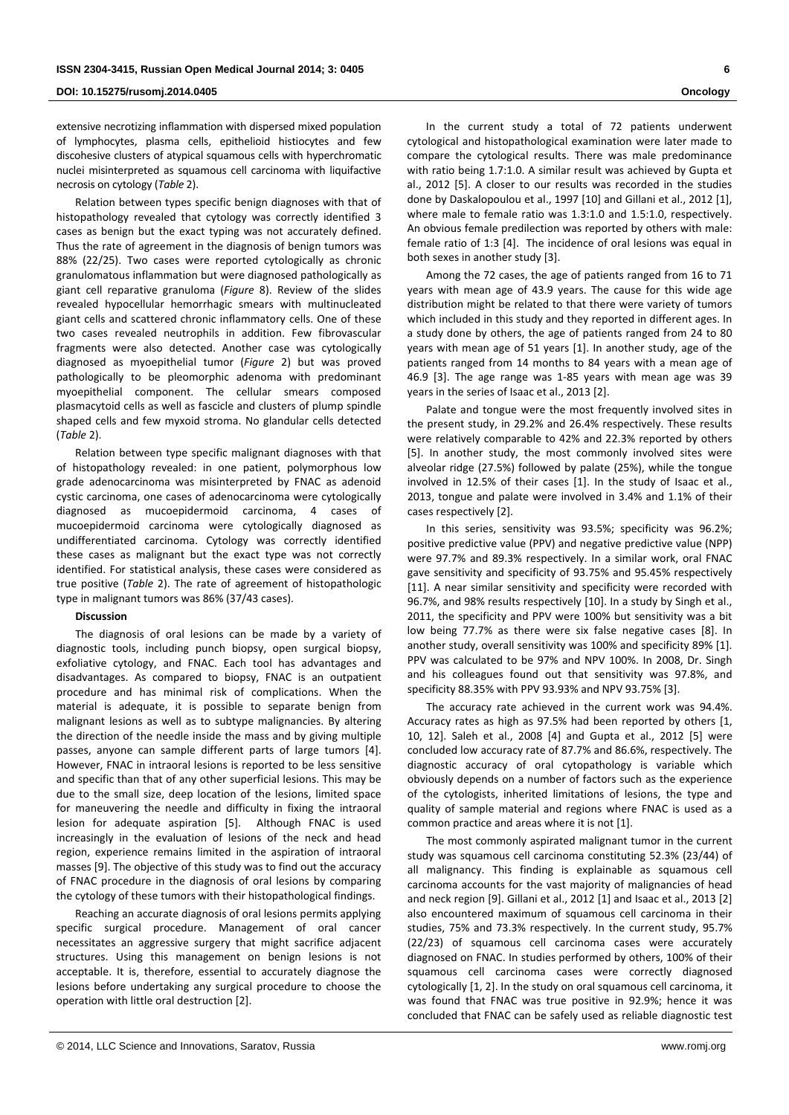extensive necrotizing inflammation with dispersed mixed population of lymphocytes, plasma cells, epithelioid histiocytes and few discohesive clusters of atypical squamous cells with hyperchromatic nuclei misinterpreted as squamous cell carcinoma with liquifactive necrosis on cytology (*Table* 2).

Relation between types specific benign diagnoses with that of histopathology revealed that cytology was correctly identified 3 cases as benign but the exact typing was not accurately defined. Thus the rate of agreement in the diagnosis of benign tumors was 88% (22/25). Two cases were reported cytologically as chronic granulomatous inflammation but were diagnosed pathologically as giant cell reparative granuloma (*Figure* 8). Review of the slides revealed hypocellular hemorrhagic smears with multinucleated giant cells and scattered chronic inflammatory cells. One of these two cases revealed neutrophils in addition. Few fibrovascular fragments were also detected. Another case was cytologically diagnosed as myoepithelial tumor (*Figure* 2) but was proved pathologically to be pleomorphic adenoma with predominant myoepithelial component. The cellular smears composed plasmacytoid cells as well as fascicle and clusters of plump spindle shaped cells and few myxoid stroma. No glandular cells detected (*Table* 2).

Relation between type specific malignant diagnoses with that of histopathology revealed: in one patient, polymorphous low grade adenocarcinoma was misinterpreted by FNAC as adenoid cystic carcinoma, one cases of adenocarcinoma were cytologically diagnosed as mucoepidermoid carcinoma, 4 cases of mucoepidermoid carcinoma were cytologically diagnosed as undifferentiated carcinoma. Cytology was correctly identified these cases as malignant but the exact type was not correctly identified. For statistical analysis, these cases were considered as true positive (*Table* 2). The rate of agreement of histopathologic type in malignant tumors was 86% (37/43 cases).

# **Discussion**

The diagnosis of oral lesions can be made by a variety of diagnostic tools, including punch biopsy, open surgical biopsy, exfoliative cytology, and FNAC. Each tool has advantages and disadvantages. As compared to biopsy, FNAC is an outpatient procedure and has minimal risk of complications. When the material is adequate, it is possible to separate benign from malignant lesions as well as to subtype malignancies. By altering the direction of the needle inside the mass and by giving multiple passes, anyone can sample different parts of large tumors [4]. However, FNAC in intraoral lesions is reported to be less sensitive and specific than that of any other superficial lesions. This may be due to the small size, deep location of the lesions, limited space for maneuvering the needle and difficulty in fixing the intraoral lesion for adequate aspiration [5]. Although FNAC is used increasingly in the evaluation of lesions of the neck and head region, experience remains limited in the aspiration of intraoral masses [9]. The objective of this study was to find out the accuracy of FNAC procedure in the diagnosis of oral lesions by comparing the cytology of these tumors with their histopathological findings.

Reaching an accurate diagnosis of oral lesions permits applying specific surgical procedure. Management of oral cancer necessitates an aggressive surgery that might sacrifice adjacent structures. Using this management on benign lesions is not acceptable. It is, therefore, essential to accurately diagnose the lesions before undertaking any surgical procedure to choose the operation with little oral destruction [2].

In the current study a total of 72 patients underwent cytological and histopathological examination were later made to compare the cytological results. There was male predominance with ratio being 1.7:1.0. A similar result was achieved by Gupta et al., 2012 [5]. A closer to our results was recorded in the studies done by Daskalopoulou et al., 1997 [10] and Gillani et al., 2012 [1], where male to female ratio was 1.3:1.0 and 1.5:1.0, respectively. An obvious female predilection was reported by others with male: female ratio of 1:3 [4]. The incidence of oral lesions was equal in both sexes in another study [3].

Among the 72 cases, the age of patients ranged from 16 to 71 years with mean age of 43.9 years. The cause for this wide age distribution might be related to that there were variety of tumors which included in this study and they reported in different ages. In a study done by others, the age of patients ranged from 24 to 80 years with mean age of 51 years [1]. In another study, age of the patients ranged from 14 months to 84 years with a mean age of 46.9 [3]. The age range was 1‐85 years with mean age was 39 years in the series of Isaac et al., 2013 [2].

Palate and tongue were the most frequently involved sites in the present study, in 29.2% and 26.4% respectively. These results were relatively comparable to 42% and 22.3% reported by others [5]. In another study, the most commonly involved sites were alveolar ridge (27.5%) followed by palate (25%), while the tongue involved in 12.5% of their cases [1]. In the study of Isaac et al., 2013, tongue and palate were involved in 3.4% and 1.1% of their cases respectively [2].

In this series, sensitivity was 93.5%; specificity was 96.2%; positive predictive value (PPV) and negative predictive value (NPP) were 97.7% and 89.3% respectively. In a similar work, oral FNAC gave sensitivity and specificity of 93.75% and 95.45% respectively [11]. A near similar sensitivity and specificity were recorded with 96.7%, and 98% results respectively [10]. In a study by Singh et al., 2011, the specificity and PPV were 100% but sensitivity was a bit low being 77.7% as there were six false negative cases [8]. In another study, overall sensitivity was 100% and specificity 89% [1]. PPV was calculated to be 97% and NPV 100%. In 2008, Dr. Singh and his colleagues found out that sensitivity was 97.8%, and specificity 88.35% with PPV 93.93% and NPV 93.75% [3].

The accuracy rate achieved in the current work was 94.4%. Accuracy rates as high as 97.5% had been reported by others [1, 10, 12]. Saleh et al., 2008 [4] and Gupta et al., 2012 [5] were concluded low accuracy rate of 87.7% and 86.6%, respectively. The diagnostic accuracy of oral cytopathology is variable which obviously depends on a number of factors such as the experience of the cytologists, inherited limitations of lesions, the type and quality of sample material and regions where FNAC is used as a common practice and areas where it is not [1].

The most commonly aspirated malignant tumor in the current study was squamous cell carcinoma constituting 52.3% (23/44) of all malignancy. This finding is explainable as squamous cell carcinoma accounts for the vast majority of malignancies of head and neck region [9]. Gillani et al., 2012 [1] and Isaac et al., 2013 [2] also encountered maximum of squamous cell carcinoma in their studies, 75% and 73.3% respectively. In the current study, 95.7% (22/23) of squamous cell carcinoma cases were accurately diagnosed on FNAC. In studies performed by others, 100% of their squamous cell carcinoma cases were correctly diagnosed cytologically [1, 2]. In the study on oral squamous cell carcinoma, it was found that FNAC was true positive in 92.9%; hence it was concluded that FNAC can be safely used as reliable diagnostic test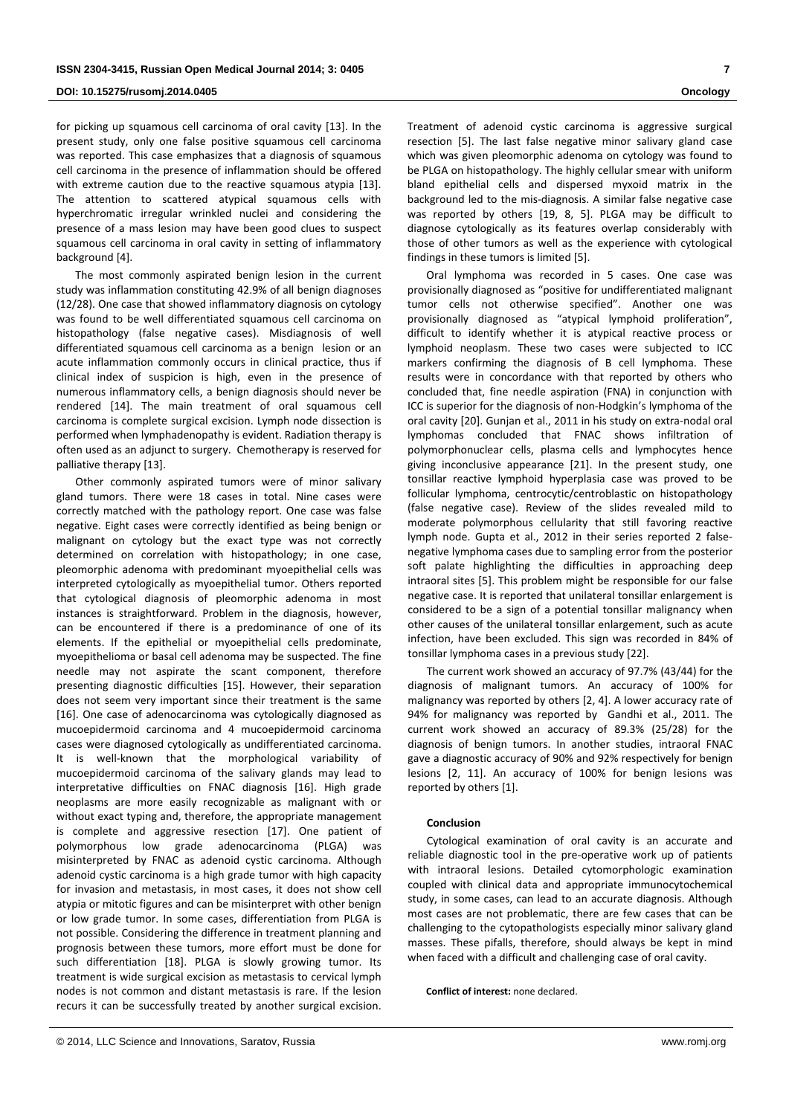for picking up squamous cell carcinoma of oral cavity [13]. In the present study, only one false positive squamous cell carcinoma was reported. This case emphasizes that a diagnosis of squamous cell carcinoma in the presence of inflammation should be offered with extreme caution due to the reactive squamous atypia [13]. The attention to scattered atypical squamous cells with hyperchromatic irregular wrinkled nuclei and considering the presence of a mass lesion may have been good clues to suspect squamous cell carcinoma in oral cavity in setting of inflammatory background [4].

The most commonly aspirated benign lesion in the current study was inflammation constituting 42.9% of all benign diagnoses (12/28). One case that showed inflammatory diagnosis on cytology was found to be well differentiated squamous cell carcinoma on histopathology (false negative cases). Misdiagnosis of well differentiated squamous cell carcinoma as a benign lesion or an acute inflammation commonly occurs in clinical practice, thus if clinical index of suspicion is high, even in the presence of numerous inflammatory cells, a benign diagnosis should never be rendered [14]. The main treatment of oral squamous cell carcinoma is complete surgical excision. Lymph node dissection is performed when lymphadenopathy is evident. Radiation therapy is often used as an adjunct to surgery. Chemotherapy is reserved for palliative therapy [13].

Other commonly aspirated tumors were of minor salivary gland tumors. There were 18 cases in total. Nine cases were correctly matched with the pathology report. One case was false negative. Eight cases were correctly identified as being benign or malignant on cytology but the exact type was not correctly determined on correlation with histopathology; in one case, pleomorphic adenoma with predominant myoepithelial cells was interpreted cytologically as myoepithelial tumor. Others reported that cytological diagnosis of pleomorphic adenoma in most instances is straightforward. Problem in the diagnosis, however, can be encountered if there is a predominance of one of its elements. If the epithelial or myoepithelial cells predominate, myoepithelioma or basal cell adenoma may be suspected. The fine needle may not aspirate the scant component, therefore presenting diagnostic difficulties [15]. However, their separation does not seem very important since their treatment is the same [16]. One case of adenocarcinoma was cytologically diagnosed as mucoepidermoid carcinoma and 4 mucoepidermoid carcinoma cases were diagnosed cytologically as undifferentiated carcinoma. It is well-known that the morphological variability of mucoepidermoid carcinoma of the salivary glands may lead to interpretative difficulties on FNAC diagnosis [16]. High grade neoplasms are more easily recognizable as malignant with or without exact typing and, therefore, the appropriate management is complete and aggressive resection [17]. One patient of polymorphous low grade adenocarcinoma (PLGA) was misinterpreted by FNAC as adenoid cystic carcinoma. Although adenoid cystic carcinoma is a high grade tumor with high capacity for invasion and metastasis, in most cases, it does not show cell atypia or mitotic figures and can be misinterpret with other benign or low grade tumor. In some cases, differentiation from PLGA is not possible. Considering the difference in treatment planning and prognosis between these tumors, more effort must be done for such differentiation [18]. PLGA is slowly growing tumor. Its treatment is wide surgical excision as metastasis to cervical lymph nodes is not common and distant metastasis is rare. If the lesion recurs it can be successfully treated by another surgical excision.

Treatment of adenoid cystic carcinoma is aggressive surgical resection [5]. The last false negative minor salivary gland case which was given pleomorphic adenoma on cytology was found to be PLGA on histopathology. The highly cellular smear with uniform bland epithelial cells and dispersed myxoid matrix in the background led to the mis‐diagnosis. A similar false negative case was reported by others [19, 8, 5]. PLGA may be difficult to diagnose cytologically as its features overlap considerably with those of other tumors as well as the experience with cytological findings in these tumors is limited [5].

Oral lymphoma was recorded in 5 cases. One case was provisionally diagnosed as "positive for undifferentiated malignant tumor cells not otherwise specified". Another one was provisionally diagnosed as "atypical lymphoid proliferation", difficult to identify whether it is atypical reactive process or lymphoid neoplasm. These two cases were subjected to ICC markers confirming the diagnosis of B cell lymphoma. These results were in concordance with that reported by others who concluded that, fine needle aspiration (FNA) in conjunction with ICC is superior for the diagnosis of non‐Hodgkin's lymphoma of the oral cavity [20]. Gunjan et al., 2011 in his study on extra‐nodal oral lymphomas concluded that FNAC shows infiltration of polymorphonuclear cells, plasma cells and lymphocytes hence giving inconclusive appearance [21]. In the present study, one tonsillar reactive lymphoid hyperplasia case was proved to be follicular lymphoma, centrocytic/centroblastic on histopathology (false negative case). Review of the slides revealed mild to moderate polymorphous cellularity that still favoring reactive lymph node. Gupta et al., 2012 in their series reported 2 false‐ negative lymphoma cases due to sampling error from the posterior soft palate highlighting the difficulties in approaching deep intraoral sites [5]. This problem might be responsible for our false negative case. It is reported that unilateral tonsillar enlargement is considered to be a sign of a potential tonsillar malignancy when other causes of the unilateral tonsillar enlargement, such as acute infection, have been excluded. This sign was recorded in 84% of tonsillar lymphoma cases in a previous study [22].

The current work showed an accuracy of 97.7% (43/44) for the diagnosis of malignant tumors. An accuracy of 100% for malignancy was reported by others [2, 4]. A lower accuracy rate of 94% for malignancy was reported by Gandhi et al., 2011. The current work showed an accuracy of 89.3% (25/28) for the diagnosis of benign tumors. In another studies, intraoral FNAC gave a diagnostic accuracy of 90% and 92% respectively for benign lesions [2, 11]. An accuracy of 100% for benign lesions was reported by others [1].

# **Conclusion**

Cytological examination of oral cavity is an accurate and reliable diagnostic tool in the pre‐operative work up of patients with intraoral lesions. Detailed cytomorphologic examination coupled with clinical data and appropriate immunocytochemical study, in some cases, can lead to an accurate diagnosis. Although most cases are not problematic, there are few cases that can be challenging to the cytopathologists especially minor salivary gland masses. These pifalls, therefore, should always be kept in mind when faced with a difficult and challenging case of oral cavity.

**Conflict of interest:** none declared.